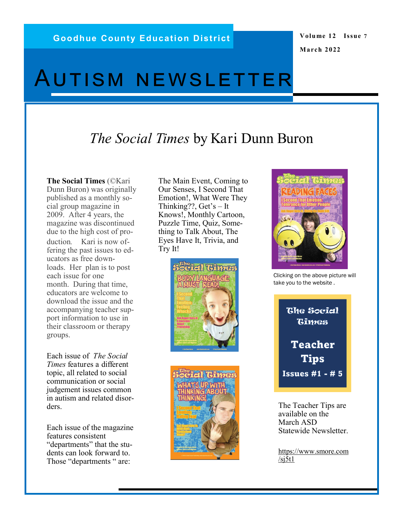### **Volume 12 Issue 7 March 2022**

# Autism newsletter

# *The Social Times* by Kari Dunn Buron

**The Social Times** (©Kari Dunn Buron) was originally published as a monthly social group magazine in 2009. After 4 years, the magazine was discontinued due to the high cost of production. Kari is now offering the past issues to educators as free downloads. Her plan is to post each issue for one month. During that time, educators are welcome to download the issue and the accompanying teacher support information to use in their classroom or therapy groups.

Each issue of *The Social Times* features a different topic, all related to social communication or social judgement issues common in autism and related disorders.

Each issue of the magazine features consistent "departments" that the students can look forward to. Those "departments " are:

The Main Event, Coming to Our Senses, I Second That Emotion!, What Were They Thinking??, Get's – It Knows!, Monthly Cartoon, Puzzle Time, Quiz, Something to Talk About, The Eyes Have It, Trivia, and Try It!







Clicking on the above picture will take you to the website .



The Teacher Tips are available on the March ASD Statewide Newsletter.

https://www.smore.com  $/s$ j5t1